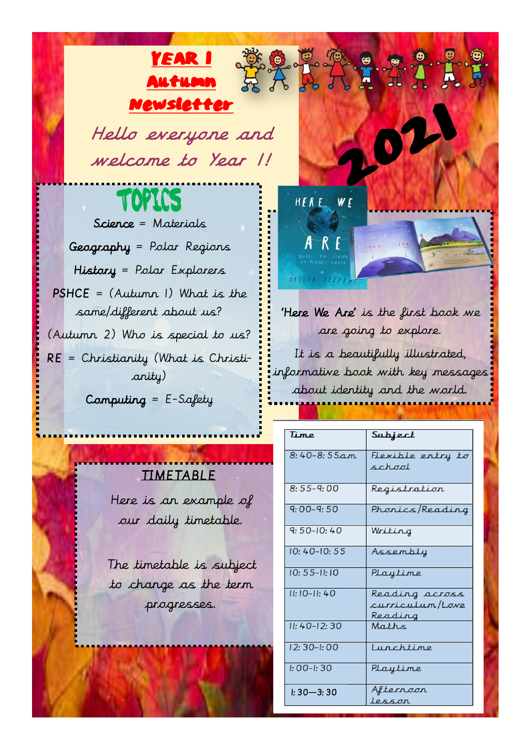Hello everyone and welcome to Year 1!

YEAR 1

Autumn

Newsletter

TOPICS Science = Materials Geography = Polar Regions History = Polar Explorers PSHCE = (Autumn 1) What is the same/different about us? (Autumn 2) Who is special to us? RE = Christianity (What is Christianity) Computing  $=$  E-Safety

### TIMETABLE

Here is an example of our daily timetable.

The timetable is subject to change as the term progresses.



'Here We Are' is the first book we are going to explore.

**DE LATILE** 

It is a beautifully illustrated, informative book with key messages about identity and the world.

| Time            | Subject                                      |
|-----------------|----------------------------------------------|
| $8:40-8:55am$   | Flexible entry to<br>school                  |
| $8:55 - 9:00$   | Registration                                 |
| $9:00-9:50$     | Phonics/Reading                              |
| $9:50-10:40$    | Writing                                      |
| $10:40-10:55$   | Assembly                                     |
| $10:55 - 11:10$ | Playtime                                     |
| $11:10-11:40$   | Reading across<br>curriculum/Love<br>Reading |
| $II: 40-12: 30$ | Maths                                        |
| 12: 30-I: 00    | Lunchtime                                    |
| $I: 00 - I: 30$ | Playtime                                     |
| $1:30-3:30$     | Alternoon<br>lesson                          |